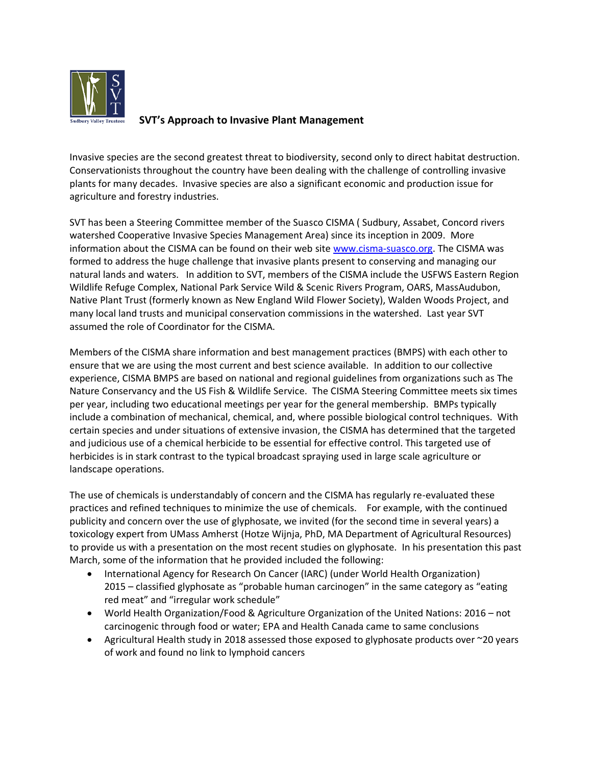

# **SVT's Approach to Invasive Plant Management**

Invasive species are the second greatest threat to biodiversity, second only to direct habitat destruction. Conservationists throughout the country have been dealing with the challenge of controlling invasive plants for many decades. Invasive species are also a significant economic and production issue for agriculture and forestry industries.

SVT has been a Steering Committee member of the Suasco CISMA ( Sudbury, Assabet, Concord rivers watershed Cooperative Invasive Species Management Area) since its inception in 2009. More information about the CISMA can be found on their web sit[e www.cisma-suasco.org.](http://www.cisma-suasco.org/) The CISMA was formed to address the huge challenge that invasive plants present to conserving and managing our natural lands and waters. In addition to SVT, members of the CISMA include the USFWS Eastern Region Wildlife Refuge Complex, National Park Service Wild & Scenic Rivers Program, OARS, MassAudubon, Native Plant Trust (formerly known as New England Wild Flower Society), Walden Woods Project, and many local land trusts and municipal conservation commissions in the watershed. Last year SVT assumed the role of Coordinator for the CISMA.

Members of the CISMA share information and best management practices (BMPS) with each other to ensure that we are using the most current and best science available. In addition to our collective experience, CISMA BMPS are based on national and regional guidelines from organizations such as The Nature Conservancy and the US Fish & Wildlife Service. The CISMA Steering Committee meets six times per year, including two educational meetings per year for the general membership. BMPs typically include a combination of mechanical, chemical, and, where possible biological control techniques. With certain species and under situations of extensive invasion, the CISMA has determined that the targeted and judicious use of a chemical herbicide to be essential for effective control. This targeted use of herbicides is in stark contrast to the typical broadcast spraying used in large scale agriculture or landscape operations.

The use of chemicals is understandably of concern and the CISMA has regularly re-evaluated these practices and refined techniques to minimize the use of chemicals. For example, with the continued publicity and concern over the use of glyphosate, we invited (for the second time in several years) a toxicology expert from UMass Amherst (Hotze Wijnja, PhD, MA Department of Agricultural Resources) to provide us with a presentation on the most recent studies on glyphosate. In his presentation this past March, some of the information that he provided included the following:

- International Agency for Research On Cancer (IARC) (under World Health Organization) 2015 – classified glyphosate as "probable human carcinogen" in the same category as "eating red meat" and "irregular work schedule"
- World Health Organization/Food & Agriculture Organization of the United Nations: 2016 not carcinogenic through food or water; EPA and Health Canada came to same conclusions
- Agricultural Health study in 2018 assessed those exposed to glyphosate products over ~20 years of work and found no link to lymphoid cancers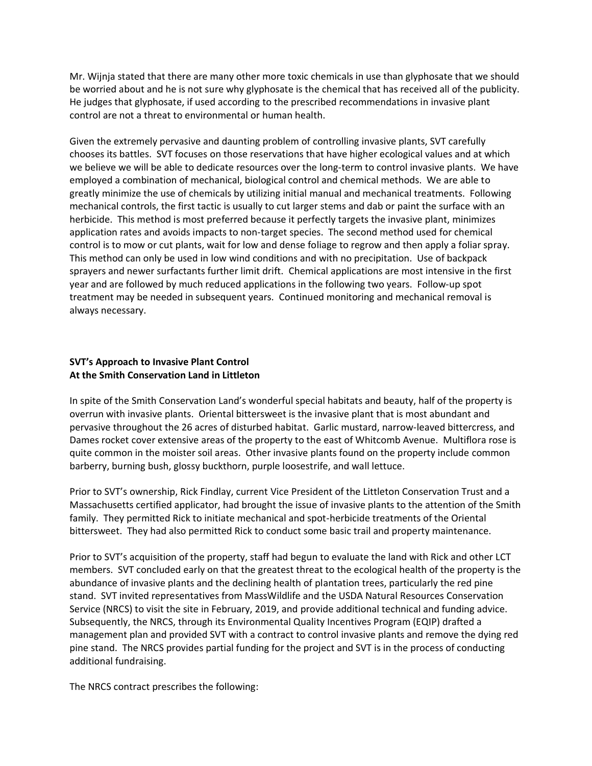Mr. Wijnja stated that there are many other more toxic chemicals in use than glyphosate that we should be worried about and he is not sure why glyphosate is the chemical that has received all of the publicity. He judges that glyphosate, if used according to the prescribed recommendations in invasive plant control are not a threat to environmental or human health.

Given the extremely pervasive and daunting problem of controlling invasive plants, SVT carefully chooses its battles. SVT focuses on those reservations that have higher ecological values and at which we believe we will be able to dedicate resources over the long-term to control invasive plants. We have employed a combination of mechanical, biological control and chemical methods. We are able to greatly minimize the use of chemicals by utilizing initial manual and mechanical treatments. Following mechanical controls, the first tactic is usually to cut larger stems and dab or paint the surface with an herbicide. This method is most preferred because it perfectly targets the invasive plant, minimizes application rates and avoids impacts to non-target species. The second method used for chemical control is to mow or cut plants, wait for low and dense foliage to regrow and then apply a foliar spray. This method can only be used in low wind conditions and with no precipitation. Use of backpack sprayers and newer surfactants further limit drift. Chemical applications are most intensive in the first year and are followed by much reduced applications in the following two years. Follow-up spot treatment may be needed in subsequent years. Continued monitoring and mechanical removal is always necessary.

### **SVT's Approach to Invasive Plant Control At the Smith Conservation Land in Littleton**

In spite of the Smith Conservation Land's wonderful special habitats and beauty, half of the property is overrun with invasive plants. Oriental bittersweet is the invasive plant that is most abundant and pervasive throughout the 26 acres of disturbed habitat. Garlic mustard, narrow-leaved bittercress, and Dames rocket cover extensive areas of the property to the east of Whitcomb Avenue. Multiflora rose is quite common in the moister soil areas. Other invasive plants found on the property include common barberry, burning bush, glossy buckthorn, purple loosestrife, and wall lettuce.

Prior to SVT's ownership, Rick Findlay, current Vice President of the Littleton Conservation Trust and a Massachusetts certified applicator, had brought the issue of invasive plants to the attention of the Smith family. They permitted Rick to initiate mechanical and spot-herbicide treatments of the Oriental bittersweet. They had also permitted Rick to conduct some basic trail and property maintenance.

Prior to SVT's acquisition of the property, staff had begun to evaluate the land with Rick and other LCT members. SVT concluded early on that the greatest threat to the ecological health of the property is the abundance of invasive plants and the declining health of plantation trees, particularly the red pine stand. SVT invited representatives from MassWildlife and the USDA Natural Resources Conservation Service (NRCS) to visit the site in February, 2019, and provide additional technical and funding advice. Subsequently, the NRCS, through its Environmental Quality Incentives Program (EQIP) drafted a management plan and provided SVT with a contract to control invasive plants and remove the dying red pine stand. The NRCS provides partial funding for the project and SVT is in the process of conducting additional fundraising.

The NRCS contract prescribes the following: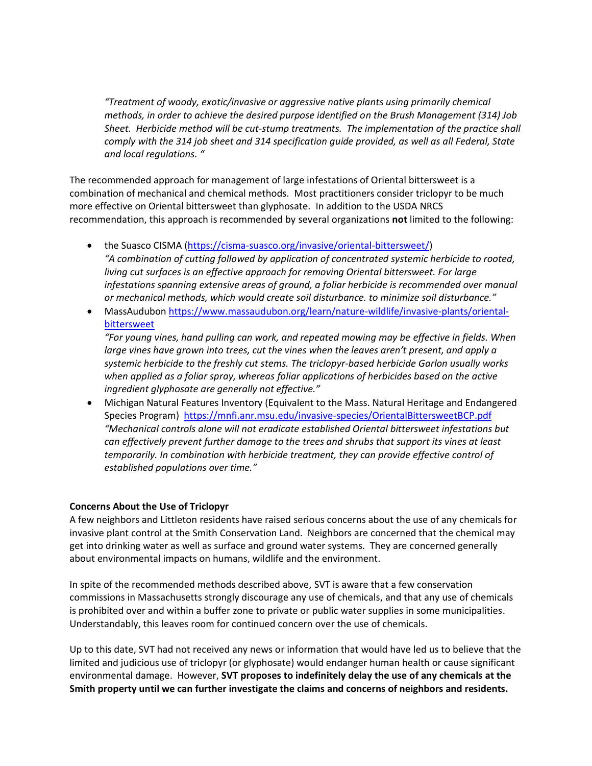*"Treatment of woody, exotic/invasive or aggressive native plants using primarily chemical methods, in order to achieve the desired purpose identified on the Brush Management (314) Job Sheet. Herbicide method will be cut-stump treatments. The implementation of the practice shall comply with the 314 job sheet and 314 specification guide provided, as well as all Federal, State and local regulations. "*

The recommended approach for management of large infestations of Oriental bittersweet is a combination of mechanical and chemical methods. Most practitioners consider triclopyr to be much more effective on Oriental bittersweet than glyphosate. In addition to the USDA NRCS recommendation, this approach is recommended by several organizations **not** limited to the following:

- the Suasco CISMA [\(https://cisma-suasco.org/invasive/oriental-bittersweet/\)](https://cisma-suasco.org/invasive/oriental-bittersweet/) *"A combination of cutting followed by application of concentrated systemic herbicide to rooted, living cut surfaces is an effective approach for removing Oriental bittersweet. For large infestations spanning extensive areas of ground, a foliar herbicide is recommended over manual or mechanical methods, which would create soil disturbance. to minimize soil disturbance."*
- MassAudubon [https://www.massaudubon.org/learn/nature-wildlife/invasive-plants/oriental](https://www.massaudubon.org/learn/nature-wildlife/invasive-plants/oriental-bittersweet)[bittersweet](https://www.massaudubon.org/learn/nature-wildlife/invasive-plants/oriental-bittersweet)

*"For young vines, hand pulling can work, and repeated mowing may be effective in fields. When large vines have grown into trees, cut the vines when the leaves aren't present, and apply a systemic herbicide to the freshly cut stems. The triclopyr-based herbicide Garlon usually works*  when applied as a foliar spray, whereas foliar applications of herbicides based on the active *ingredient glyphosate are generally not effective."*

• Michigan Natural Features Inventory (Equivalent to the Mass. Natural Heritage and Endangered Species Program) <https://mnfi.anr.msu.edu/invasive-species/OrientalBittersweetBCP.pdf> *"Mechanical controls alone will not eradicate established Oriental bittersweet infestations but can effectively prevent further damage to the trees and shrubs that support its vines at least temporarily. In combination with herbicide treatment, they can provide effective control of established populations over time."*

### **Concerns About the Use of Triclopyr**

A few neighbors and Littleton residents have raised serious concerns about the use of any chemicals for invasive plant control at the Smith Conservation Land. Neighbors are concerned that the chemical may get into drinking water as well as surface and ground water systems. They are concerned generally about environmental impacts on humans, wildlife and the environment.

In spite of the recommended methods described above, SVT is aware that a few conservation commissions in Massachusetts strongly discourage any use of chemicals, and that any use of chemicals is prohibited over and within a buffer zone to private or public water supplies in some municipalities. Understandably, this leaves room for continued concern over the use of chemicals.

Up to this date, SVT had not received any news or information that would have led us to believe that the limited and judicious use of triclopyr (or glyphosate) would endanger human health or cause significant environmental damage. However, **SVT proposes to indefinitely delay the use of any chemicals at the Smith property until we can further investigate the claims and concerns of neighbors and residents.**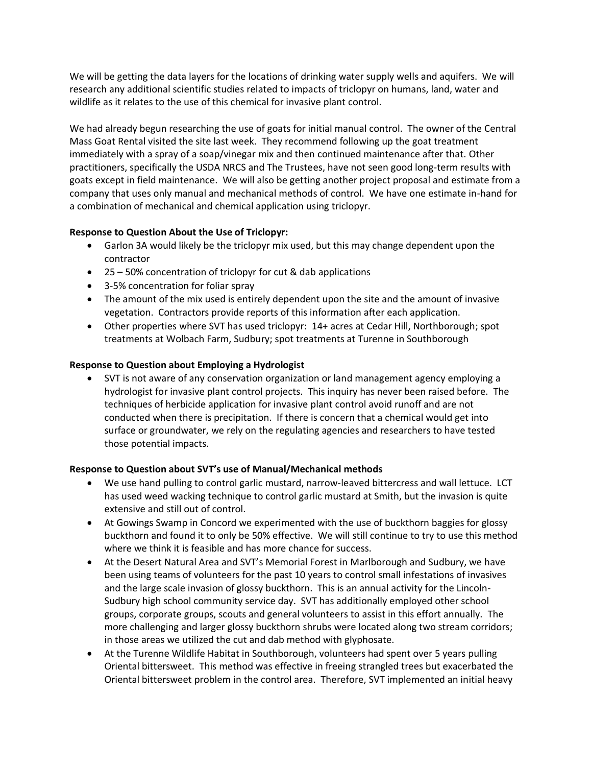We will be getting the data layers for the locations of drinking water supply wells and aquifers. We will research any additional scientific studies related to impacts of triclopyr on humans, land, water and wildlife as it relates to the use of this chemical for invasive plant control.

We had already begun researching the use of goats for initial manual control. The owner of the Central Mass Goat Rental visited the site last week. They recommend following up the goat treatment immediately with a spray of a soap/vinegar mix and then continued maintenance after that. Other practitioners, specifically the USDA NRCS and The Trustees, have not seen good long-term results with goats except in field maintenance. We will also be getting another project proposal and estimate from a company that uses only manual and mechanical methods of control. We have one estimate in-hand for a combination of mechanical and chemical application using triclopyr.

### **Response to Question About the Use of Triclopyr:**

- Garlon 3A would likely be the triclopyr mix used, but this may change dependent upon the contractor
- 25 50% concentration of triclopyr for cut & dab applications
- 3-5% concentration for foliar spray
- The amount of the mix used is entirely dependent upon the site and the amount of invasive vegetation. Contractors provide reports of this information after each application.
- Other properties where SVT has used triclopyr: 14+ acres at Cedar Hill, Northborough; spot treatments at Wolbach Farm, Sudbury; spot treatments at Turenne in Southborough

# **Response to Question about Employing a Hydrologist**

• SVT is not aware of any conservation organization or land management agency employing a hydrologist for invasive plant control projects. This inquiry has never been raised before. The techniques of herbicide application for invasive plant control avoid runoff and are not conducted when there is precipitation. If there is concern that a chemical would get into surface or groundwater, we rely on the regulating agencies and researchers to have tested those potential impacts.

# **Response to Question about SVT's use of Manual/Mechanical methods**

- We use hand pulling to control garlic mustard, narrow-leaved bittercress and wall lettuce. LCT has used weed wacking technique to control garlic mustard at Smith, but the invasion is quite extensive and still out of control.
- At Gowings Swamp in Concord we experimented with the use of buckthorn baggies for glossy buckthorn and found it to only be 50% effective. We will still continue to try to use this method where we think it is feasible and has more chance for success.
- At the Desert Natural Area and SVT's Memorial Forest in Marlborough and Sudbury, we have been using teams of volunteers for the past 10 years to control small infestations of invasives and the large scale invasion of glossy buckthorn. This is an annual activity for the Lincoln-Sudbury high school community service day. SVT has additionally employed other school groups, corporate groups, scouts and general volunteers to assist in this effort annually. The more challenging and larger glossy buckthorn shrubs were located along two stream corridors; in those areas we utilized the cut and dab method with glyphosate.
- At the Turenne Wildlife Habitat in Southborough, volunteers had spent over 5 years pulling Oriental bittersweet. This method was effective in freeing strangled trees but exacerbated the Oriental bittersweet problem in the control area. Therefore, SVT implemented an initial heavy